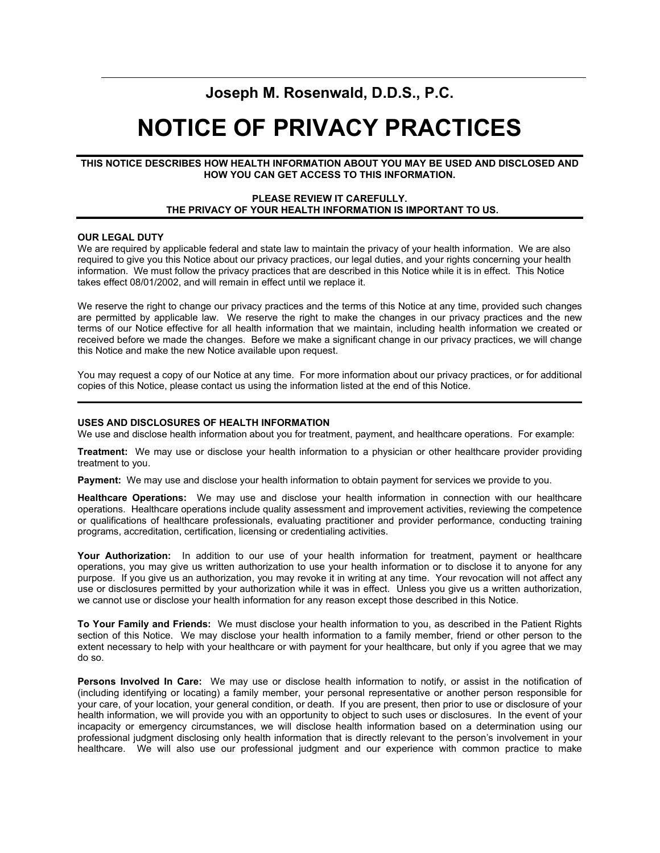# **Joseph M. Rosenwald, D.D.S., P.C.**

# **NOTICE OF PRIVACY PRACTICES**

## **THIS NOTICE DESCRIBES HOW HEALTH INFORMATION ABOUT YOU MAY BE USED AND DISCLOSED AND HOW YOU CAN GET ACCESS TO THIS INFORMATION.**

#### **PLEASE REVIEW IT CAREFULLY. THE PRIVACY OF YOUR HEALTH INFORMATION IS IMPORTANT TO US.**

#### **OUR LEGAL DUTY**

We are required by applicable federal and state law to maintain the privacy of your health information. We are also required to give you this Notice about our privacy practices, our legal duties, and your rights concerning your health information. We must follow the privacy practices that are described in this Notice while it is in effect. This Notice takes effect 08/01/2002, and will remain in effect until we replace it.

We reserve the right to change our privacy practices and the terms of this Notice at any time, provided such changes are permitted by applicable law. We reserve the right to make the changes in our privacy practices and the new terms of our Notice effective for all health information that we maintain, including health information we created or received before we made the changes. Before we make a significant change in our privacy practices, we will change this Notice and make the new Notice available upon request.

You may request a copy of our Notice at any time. For more information about our privacy practices, or for additional copies of this Notice, please contact us using the information listed at the end of this Notice.

#### **USES AND DISCLOSURES OF HEALTH INFORMATION**

We use and disclose health information about you for treatment, payment, and healthcare operations. For example:

**Treatment:** We may use or disclose your health information to a physician or other healthcare provider providing treatment to you.

**Payment:** We may use and disclose your health information to obtain payment for services we provide to you.

**Healthcare Operations:** We may use and disclose your health information in connection with our healthcare operations. Healthcare operations include quality assessment and improvement activities, reviewing the competence or qualifications of healthcare professionals, evaluating practitioner and provider performance, conducting training programs, accreditation, certification, licensing or credentialing activities.

**Your Authorization:** In addition to our use of your health information for treatment, payment or healthcare operations, you may give us written authorization to use your health information or to disclose it to anyone for any purpose. If you give us an authorization, you may revoke it in writing at any time. Your revocation will not affect any use or disclosures permitted by your authorization while it was in effect. Unless you give us a written authorization, we cannot use or disclose your health information for any reason except those described in this Notice.

**To Your Family and Friends:** We must disclose your health information to you, as described in the Patient Rights section of this Notice. We may disclose your health information to a family member, friend or other person to the extent necessary to help with your healthcare or with payment for your healthcare, but only if you agree that we may do so.

**Persons Involved In Care:** We may use or disclose health information to notify, or assist in the notification of (including identifying or locating) a family member, your personal representative or another person responsible for your care, of your location, your general condition, or death. If you are present, then prior to use or disclosure of your health information, we will provide you with an opportunity to object to such uses or disclosures. In the event of your incapacity or emergency circumstances, we will disclose health information based on a determination using our professional judgment disclosing only health information that is directly relevant to the person's involvement in your healthcare. We will also use our professional judgment and our experience with common practice to make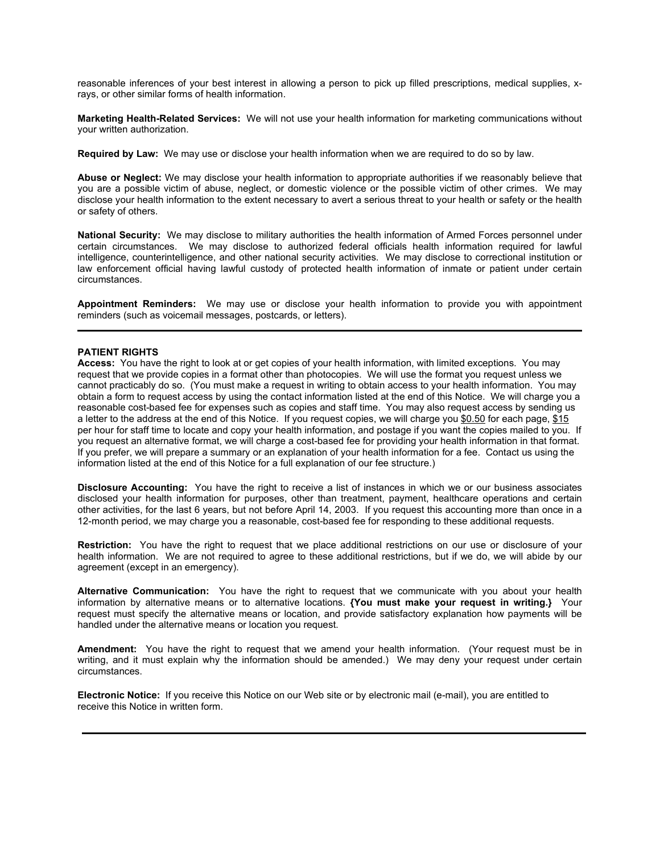reasonable inferences of your best interest in allowing a person to pick up filled prescriptions, medical supplies, xrays, or other similar forms of health information.

**Marketing Health-Related Services:** We will not use your health information for marketing communications without your written authorization.

**Required by Law:** We may use or disclose your health information when we are required to do so by law.

**Abuse or Neglect:** We may disclose your health information to appropriate authorities if we reasonably believe that you are a possible victim of abuse, neglect, or domestic violence or the possible victim of other crimes. We may disclose your health information to the extent necessary to avert a serious threat to your health or safety or the health or safety of others.

**National Security:** We may disclose to military authorities the health information of Armed Forces personnel under certain circumstances. We may disclose to authorized federal officials health information required for lawful intelligence, counterintelligence, and other national security activities. We may disclose to correctional institution or law enforcement official having lawful custody of protected health information of inmate or patient under certain circumstances.

**Appointment Reminders:** We may use or disclose your health information to provide you with appointment reminders (such as voicemail messages, postcards, or letters).

## **PATIENT RIGHTS**

**Access:** You have the right to look at or get copies of your health information, with limited exceptions. You may request that we provide copies in a format other than photocopies. We will use the format you request unless we cannot practicably do so. (You must make a request in writing to obtain access to your health information. You may obtain a form to request access by using the contact information listed at the end of this Notice. We will charge you a reasonable cost-based fee for expenses such as copies and staff time. You may also request access by sending us a letter to the address at the end of this Notice. If you request copies, we will charge you  $$0.50$  for each page,  $$15$ per hour for staff time to locate and copy your health information, and postage if you want the copies mailed to you. If you request an alternative format, we will charge a cost-based fee for providing your health information in that format. If you prefer, we will prepare a summary or an explanation of your health information for a fee. Contact us using the information listed at the end of this Notice for a full explanation of our fee structure.)

**Disclosure Accounting:** You have the right to receive a list of instances in which we or our business associates disclosed your health information for purposes, other than treatment, payment, healthcare operations and certain other activities, for the last 6 years, but not before April 14, 2003.If you request this accounting more than once in a 12-month period, we may charge you a reasonable, cost-based fee for responding to these additional requests.

**Restriction:** You have the right to request that we place additional restrictions on our use or disclosure of your health information. We are not required to agree to these additional restrictions, but if we do, we will abide by our agreement (except in an emergency).

**Alternative Communication:** You have the right to request that we communicate with you about your health information by alternative means or to alternative locations. **{You must make your request in writing.}** Your request must specify the alternative means or location, and provide satisfactory explanation how payments will be handled under the alternative means or location you request.

**Amendment:** You have the right to request that we amend your health information. (Your request must be in writing, and it must explain why the information should be amended.) We may deny your request under certain circumstances.

**Electronic Notice:** If you receive this Notice on our Web site or by electronic mail (e-mail), you are entitled to receive this Notice in written form.